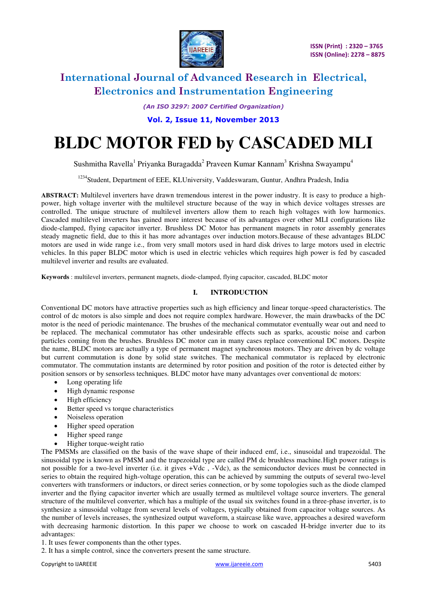

*(An ISO 3297: 2007 Certified Organization)* 

**Vol. 2, Issue 11, November 2013**

# **BLDC MOTOR FED by CASCADED MLI**

Sushmitha Ravella<sup>1</sup> Priyanka Buragadda<sup>2</sup> Praveen Kumar Kannam<sup>3</sup> Krishna Swayampu<sup>4</sup>

<sup>1234</sup>Student, Department of EEE, KLUniversity, Vaddeswaram, Guntur, Andhra Pradesh, India

**ABSTRACT:** Multilevel inverters have drawn tremendous interest in the power industry. It is easy to produce a highpower, high voltage inverter with the multilevel structure because of the way in which device voltages stresses are controlled. The unique structure of multilevel inverters allow them to reach high voltages with low harmonics. Cascaded multilevel inverters has gained more interest because of its advantages over other MLI configurations like diode-clamped, flying capacitor inverter. Brushless DC Motor has permanent magnets in rotor assembly generates steady magnetic field, due to this it has more advantages over induction motors.Because of these advantages BLDC motors are used in wide range i.e., from very small motors used in hard disk drives to large motors used in electric vehicles. In this paper BLDC motor which is used in electric vehicles which requires high power is fed by cascaded multilevel inverter and results are evaluated.

**Keywords** : multilevel inverters, permanent magnets, diode-clamped, flying capacitor, cascaded, BLDC motor

#### **I. INTRODUCTION**

Conventional DC motors have attractive properties such as high efficiency and linear torque-speed characteristics. The control of dc motors is also simple and does not require complex hardware. However, the main drawbacks of the DC motor is the need of periodic maintenance. The brushes of the mechanical commutator eventually wear out and need to be replaced. The mechanical commutator has other undesirable effects such as sparks, acoustic noise and carbon particles coming from the brushes. Brushless DC motor can in many cases replace conventional DC motors. Despite the name, BLDC motors are actually a type of permanent magnet synchronous motors. They are driven by dc voltage but current commutation is done by solid state switches. The mechanical commutator is replaced by electronic commutator. The commutation instants are determined by rotor position and position of the rotor is detected either by position sensors or by sensorless techniques. BLDC motor have many advantages over conventional dc motors:

- Long operating life
- High dynamic response
- $\bullet$  High efficiency
- Better speed vs torque characteristics
- Noiseless operation
- Higher speed operation
- Higher speed range
- Higher torque-weight ratio

The PMSMs are classified on the basis of the wave shape of their induced emf, i.e., sinusoidal and trapezoidal. The sinusoidal type is known as PMSM and the trapezoidal type are called PM dc brushless machine.High power ratings is not possible for a two-level inverter (i.e. it gives +Vdc , -Vdc), as the semiconductor devices must be connected in series to obtain the required high-voltage operation, this can be achieved by summing the outputs of several two-level converters with transformers or inductors, or direct series connection, or by some topologies such as the diode clamped inverter and the flying capacitor inverter which are usually termed as multilevel voltage source inverters. The general structure of the multilevel converter, which has a multiple of the usual six switches found in a three-phase inverter, is to synthesize a sinusoidal voltage from several levels of voltages, typically obtained from capacitor voltage sources. As the number of levels increases, the synthesized output waveform, a staircase like wave, approaches a desired waveform with decreasing harmonic distortion. In this paper we choose to work on cascaded H-bridge inverter due to its advantages:

1. It uses fewer components than the other types.

2. It has a simple control, since the converters present the same structure.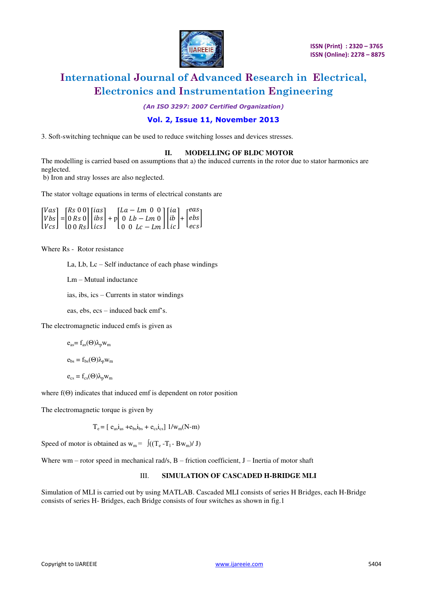

*(An ISO 3297: 2007 Certified Organization)* 

#### **Vol. 2, Issue 11, November 2013**

3. Soft-switching technique can be used to reduce switching losses and devices stresses.

#### **II. MODELLING OF BLDC MOTOR**

The modelling is carried based on assumptions that a) the induced currents in the rotor due to stator harmonics are neglected.

b) Iron and stray losses are also neglected.

The stator voltage equations in terms of electrical constants are

|  | $\begin{bmatrix} Vas \\ Vbs \\ Vcs \end{bmatrix} = \begin{bmatrix} Rs & 0 & 0 \\ 0 & Rs & 0 \\ 0 & 0 & Rs \end{bmatrix} \begin{bmatrix} ias \\ ibs \\ ics \end{bmatrix} + p \begin{bmatrix} La - Lm & 0 & 0 \\ 0 & Lb - Lm & 0 \\ 0 & 0 & Lc - Lm \end{bmatrix} \begin{bmatrix} ia \\ ib \\ ic \end{bmatrix} + \begin{bmatrix} eas \\ ebs \\ ecs \end{bmatrix}$ |  |  |  |  |  |  |
|--|-----------------------------------------------------------------------------------------------------------------------------------------------------------------------------------------------------------------------------------------------------------------------------------------------------------------------------------------------------------------|--|--|--|--|--|--|

Where Rs - Rotor resistance

La, Lb, Lc – Self inductance of each phase windings

Lm – Mutual inductance

ias, ibs, ics – Currents in stator windings

eas, ebs, ecs – induced back emf's.

The electromagnetic induced emfs is given as

$$
e_{as} = f_{as}(\Theta)\lambda_p w_m
$$

$$
e_{bs} = f_{bs}(\Theta)\lambda_p w_m
$$

$$
e_{cs} = f_{cs}(\Theta) \lambda_p w_m
$$

where  $f(\Theta)$  indicates that induced emf is dependent on rotor position

The electromagnetic torque is given by

 $T_e = [e_{as}i_{as} + e_{bs}i_{bs} + e_{cs}i_{cs}] 1/w_m(N-m)$ 

Speed of motor is obtained as  $w_m = \int ((T_e - T_1 - Bw_m)/J)$ 

Where wm – rotor speed in mechanical rad/s,  $B$  – friction coefficient,  $J$  – Inertia of motor shaft

#### III. **SIMULATION OF CASCADED H-BRIDGE MLI**

Simulation of MLI is carried out by using MATLAB. Cascaded MLI consists of series H Bridges, each H-Bridge consists of series H- Bridges, each Bridge consists of four switches as shown in fig.1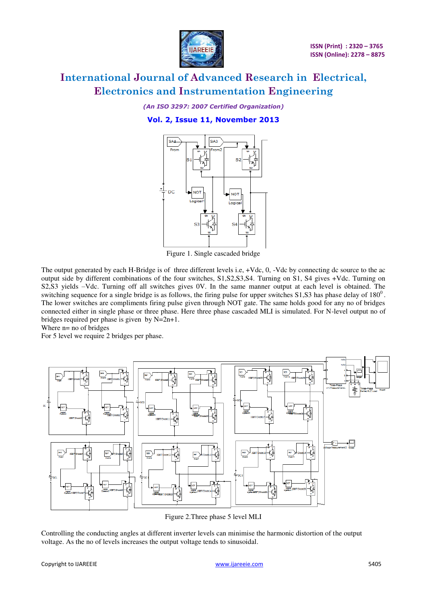

*(An ISO 3297: 2007 Certified Organization)* 

#### **Vol. 2, Issue 11, November 2013**



Figure 1. Single cascaded bridge

The output generated by each H-Bridge is of three different levels i.e, +Vdc, 0, -Vdc by connecting dc source to the ac output side by different combinations of the four switches, S1,S2,S3,S4. Turning on S1, S4 gives +Vdc. Turning on S2,S3 yields –Vdc. Turning off all switches gives 0V. In the same manner output at each level is obtained. The switching sequence for a single bridge is as follows, the firing pulse for upper switches  $S1$ ,  $S3$  has phase delay of  $180^0$ . The lower switches are compliments firing pulse given through NOT gate. The same holds good for any no of bridges connected either in single phase or three phase. Here three phase cascaded MLI is simulated. For N-level output no of bridges required per phase is given by N=2n+1.

Where  $n=$  no of bridges

For 5 level we require 2 bridges per phase.



Figure 2.Three phase 5 level MLI

Controlling the conducting angles at different inverter levels can minimise the harmonic distortion of the output voltage. As the no of levels increases the output voltage tends to sinusoidal.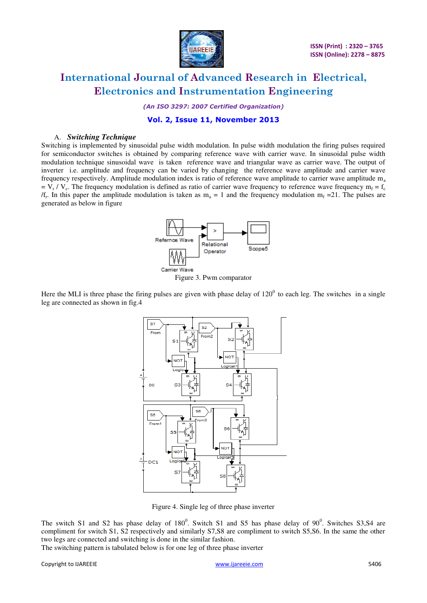

*(An ISO 3297: 2007 Certified Organization)* 

#### **Vol. 2, Issue 11, November 2013**

#### A. *Switching Technique*

Switching is implemented by sinusoidal pulse width modulation. In pulse width modulation the firing pulses required for semiconductor switches is obtained by comparing reference wave with carrier wave. In sinusoidal pulse width modulation technique sinusoidal wave is taken reference wave and triangular wave as carrier wave. The output of inverter i.e. amplitude and frequency can be varied by changing the reference wave amplitude and carrier wave frequency respectively. Amplitude modulation index is ratio of reference wave amplitude to carrier wave amplitude m<sup>a</sup>  $= V_r / V_c$ . The frequency modulation is defined as ratio of carrier wave frequency to reference wave frequency m<sub>f</sub> = f<sub>c</sub> /f<sub>r</sub>. In this paper the amplitude modulation is taken as  $m_a = 1$  and the frequency modulation  $m_f = 21$ . The pulses are generated as below in figure



Figure 3. Pwm comparator

Here the MLI is three phase the firing pulses are given with phase delay of  $120^0$  to each leg. The switches in a single leg are connected as shown in fig.4



Figure 4. Single leg of three phase inverter

The switch S1 and S2 has phase delay of  $180^0$ . Switch S1 and S5 has phase delay of  $90^0$ . Switches S3,S4 are compliment for switch S1, S2 respectively and similarly S7,S8 are compliment to switch S5,S6. In the same the other two legs are connected and switching is done in the similar fashion.

The switching pattern is tabulated below is for one leg of three phase inverter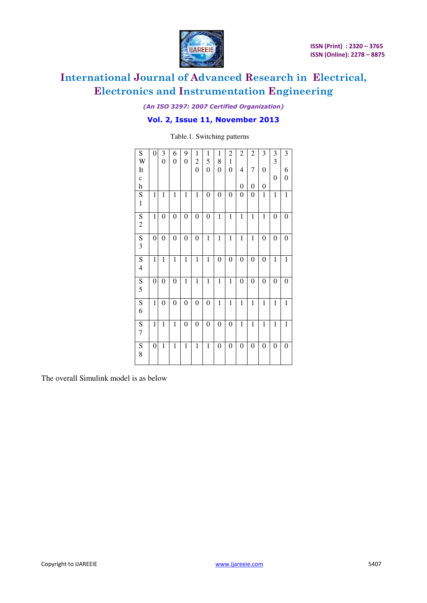

*(An ISO 3297: 2007 Certified Organization)* 

#### **Vol. 2, Issue 11, November 2013**

Table.1. Switching patterns

| ${\bf S}$                 | 0                | 3                | 6                | 9                | $\mathbf{1}$            | $\mathbf{1}$     | 1                | $\overline{2}$   | $\overline{c}$   | $\overline{c}$   | 3                | 3                | 3                |
|---------------------------|------------------|------------------|------------------|------------------|-------------------------|------------------|------------------|------------------|------------------|------------------|------------------|------------------|------------------|
| W                         |                  | $\overline{0}$   | 0                | $\boldsymbol{0}$ | $\overline{\mathbf{c}}$ | 5                | 8                | $\mathbf{1}$     |                  |                  |                  | 3                |                  |
| It                        |                  |                  |                  |                  | $\overline{0}$          | $\boldsymbol{0}$ | $\boldsymbol{0}$ | $\boldsymbol{0}$ | 4                | $\overline{7}$   | $\overline{0}$   |                  | 6                |
| $\mathbf c$               |                  |                  |                  |                  |                         |                  |                  |                  |                  |                  |                  | 0                | $\boldsymbol{0}$ |
| $\boldsymbol{\textbf{h}}$ |                  |                  |                  |                  |                         |                  |                  |                  | 0                | $\boldsymbol{0}$ | 0                |                  |                  |
| ${\bf S}$                 | $\mathbf{1}$     | $\mathbf{1}$     | $\mathbf{1}$     | $\mathbf{1}$     | $\mathbf{1}$            | $\boldsymbol{0}$ | 0                | $\boldsymbol{0}$ | 0                | $\boldsymbol{0}$ | $\mathbf{1}$     | $\mathbf{1}$     | $\mathbf{1}$     |
| $\mathbbm{1}$             |                  |                  |                  |                  |                         |                  |                  |                  |                  |                  |                  |                  |                  |
| $\overline{S}$            | $\mathbf{1}$     | $\boldsymbol{0}$ | $\boldsymbol{0}$ | $\boldsymbol{0}$ | $\boldsymbol{0}$        | 0                | $\mathbf{1}$     | $\mathbf{1}$     | $\mathbf{1}$     | $\mathbf{1}$     | $\mathbf{1}$     | 0                | $\boldsymbol{0}$ |
| $\overline{c}$            |                  |                  |                  |                  |                         |                  |                  |                  |                  |                  |                  |                  |                  |
| S                         | 0                | 0                | $\boldsymbol{0}$ | $\boldsymbol{0}$ | $\boldsymbol{0}$        | 1                | $\mathbf{1}$     | $\,1$            | 1                | $\mathbf{1}$     | $\boldsymbol{0}$ | $\boldsymbol{0}$ | $\boldsymbol{0}$ |
| 3                         |                  |                  |                  |                  |                         |                  |                  |                  |                  |                  |                  |                  |                  |
| S                         | $\mathbf{1}$     | $\mathbf{1}$     | $\mathbf{1}$     | $\mathbf{1}$     | $\mathbf{1}$            | 1                | $\boldsymbol{0}$ | $\boldsymbol{0}$ | $\boldsymbol{0}$ | $\boldsymbol{0}$ | $\boldsymbol{0}$ | $\mathbf{1}$     | $\mathbf{1}$     |
| $\overline{\mathbf{4}}$   |                  |                  |                  |                  |                         |                  |                  |                  |                  |                  |                  |                  |                  |
| $\overline{\mathbf{S}}$   | $\boldsymbol{0}$ | $\boldsymbol{0}$ | $\boldsymbol{0}$ | $\mathbf{1}$     | $\mathbf{1}$            | $\mathbf{1}$     | $\mathbf{1}$     | $\mathbf{1}$     | 0                | $\boldsymbol{0}$ | $\boldsymbol{0}$ | 0                | $\boldsymbol{0}$ |
| 5                         |                  |                  |                  |                  |                         |                  |                  |                  |                  |                  |                  |                  |                  |
| S                         | $\mathbf{1}$     | 0                | 0                | $\boldsymbol{0}$ | $\boldsymbol{0}$        | $\boldsymbol{0}$ | $\mathbf{1}$     | $\mathbf{1}$     | $\mathbf{1}$     | $\mathbf{1}$     | $\mathbf{1}$     | $\mathbf{1}$     | $\mathbf{1}$     |
| 6                         |                  |                  |                  |                  |                         |                  |                  |                  |                  |                  |                  |                  |                  |
| $\overline{S}$            | $\mathbf{1}$     | $\mathbf{1}$     | $\mathbf{1}$     | $\boldsymbol{0}$ | $\boldsymbol{0}$        | $\overline{0}$   | $\boldsymbol{0}$ | $\boldsymbol{0}$ | $\mathbf{1}$     | $\mathbf{1}$     | $\mathbf{1}$     | $\mathbf{1}$     | $\mathbf 1$      |
| $\boldsymbol{7}$          |                  |                  |                  |                  |                         |                  |                  |                  |                  |                  |                  |                  |                  |
| S                         | 0                | 1                | 1                | 1                | 1                       | 1                | $\boldsymbol{0}$ | 0                | 0                | $\boldsymbol{0}$ | $\boldsymbol{0}$ | 0                | $\boldsymbol{0}$ |
| 8                         |                  |                  |                  |                  |                         |                  |                  |                  |                  |                  |                  |                  |                  |
|                           |                  |                  |                  |                  |                         |                  |                  |                  |                  |                  |                  |                  |                  |

The overall Simulink model is as below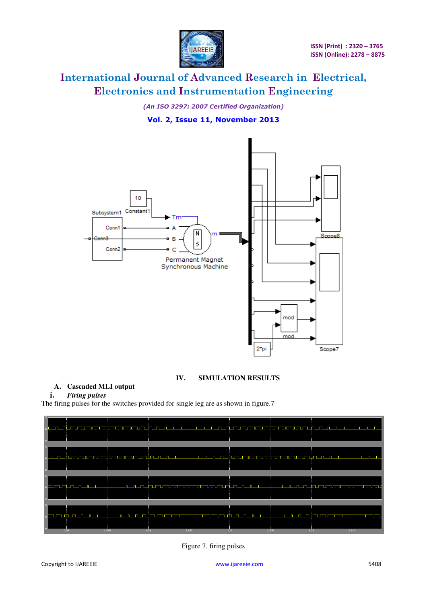

*(An ISO 3297: 2007 Certified Organization)* 

#### **Vol. 2, Issue 11, November 2013**



#### **IV. SIMULATION RESULTS**

#### **A. Cascaded MLI output**

#### **i.** *Firing pulses*

The firing pulses for the switches provided for single leg are as shown in figure.7

|  | , <mark>de gegin i minnim imam minnim in the gegin i eta teknik. De gegin galan imam man man man gejen gegin eta teknik geg</mark>                                                                                                   |  |
|--|--------------------------------------------------------------------------------------------------------------------------------------------------------------------------------------------------------------------------------------|--|
|  | <u>la ang ito mammamamamamaman at ina na nana si sa nanang matamamamamamaman na matatin na na na nanang sa nanang</u>                                                                                                                |  |
|  | <u> Evente e de la comunicación de la comunicación de la comunicación de la comunicación establecer e la comunicación de la comunicación de la comunicación de la comunicación de la comunicación de la comunicación de la comun</u> |  |
|  | <u> En medicine her herre som hen hen med med med med med med med den herre herre som hen hen med med med med med</u>                                                                                                                |  |

Figure 7. firing pulses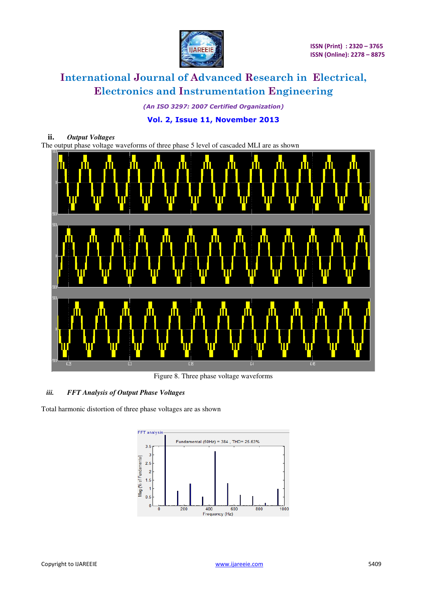

*(An ISO 3297: 2007 Certified Organization)* 

#### **Vol. 2, Issue 11, November 2013**



Figure 8. Three phase voltage waveforms

#### *iii. FFT Analysis of Output Phase Voltages*

Total harmonic distortion of three phase voltages are as shown

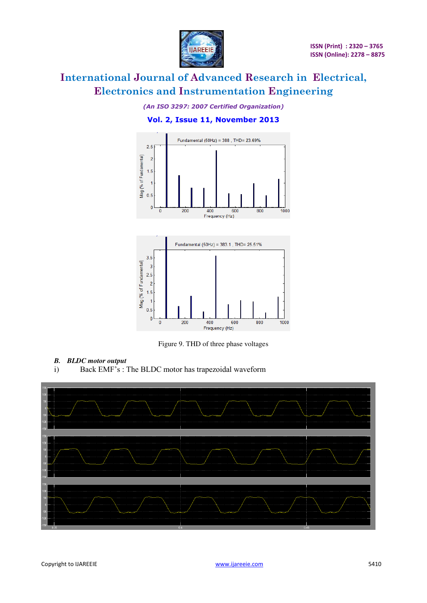

#### *(An ISO 3297: 2007 Certified Organization)*

#### **Vol. 2, Issue 11, November 2013**





Figure 9. THD of three phase voltages

- *B. BLDC motor output*
- i) Back EMF's : The BLDC motor has trapezoidal waveform